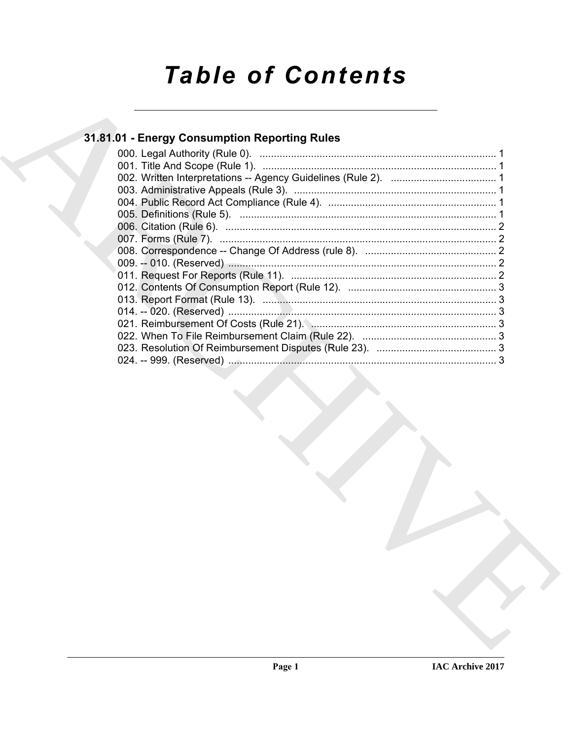# **Table of Contents**

## 31.81.01 - Energy Consumption Reporting Rules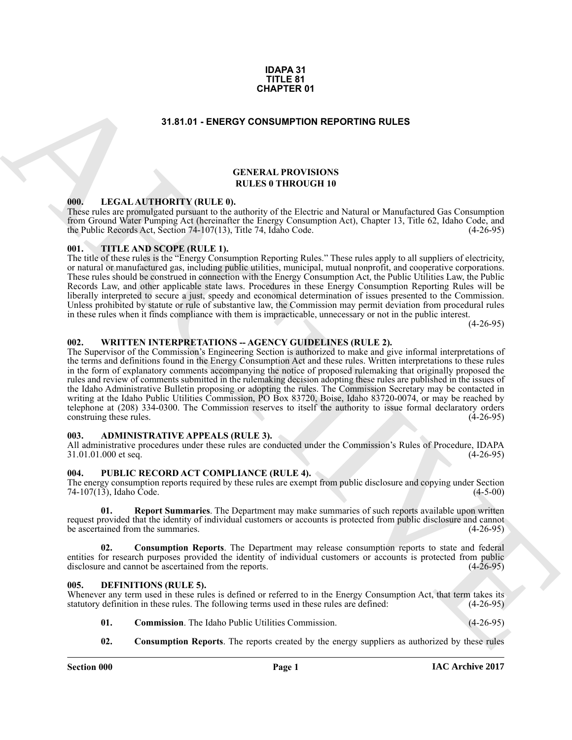#### **IDAPA 31 TITLE 81 CHAPTER 01**

#### **31.81.01 - ENERGY CONSUMPTION REPORTING RULES**

#### **GENERAL PROVISIONS RULES 0 THROUGH 10**

#### <span id="page-1-1"></span>**000. LEGAL AUTHORITY (RULE 0).**

These rules are promulgated pursuant to the authority of the Electric and Natural or Manufactured Gas Consumption from Ground Water Pumping Act (hereinafter the Energy Consumption Act), Chapter 13, Title 62, Idaho Code, and the Public Records Act, Section  $74-107(13)$ , Title 74, Idaho Code.

#### <span id="page-1-2"></span>**001. TITLE AND SCOPE (RULE 1).**

The title of these rules is the "Energy Consumption Reporting Rules." These rules apply to all suppliers of electricity, or natural or manufactured gas, including public utilities, municipal, mutual nonprofit, and cooperative corporations. These rules should be construed in connection with the Energy Consumption Act, the Public Utilities Law, the Public Records Law, and other applicable state laws. Procedures in these Energy Consumption Reporting Rules will be liberally interpreted to secure a just, speedy and economical determination of issues presented to the Commission. Unless prohibited by statute or rule of substantive law, the Commission may permit deviation from procedural rules in these rules when it finds compliance with them is impracticable, unnecessary or not in the public interest.

 $(4-26-95)$ 

#### <span id="page-1-3"></span>**002. WRITTEN INTERPRETATIONS -- AGENCY GUIDELINES (RULE 2).**

<span id="page-1-0"></span>**31.41601 CHAPTER 01**<br> **SHATOI - ENERGY CONSUMPTION REPORTING RULES**<br>
THE AL AITTION TRITED ATTENDATION IS INTERFECTIVE ARCHIVES TO A CHAPTER CONSUMPTION IS INTERFECTIVE AND CONSULTABLE TO A CHAPTER CONSULTABLE TO A CHA The Supervisor of the Commission's Engineering Section is authorized to make and give informal interpretations of the terms and definitions found in the Energy Consumption Act and these rules. Written interpretations to these rules in the form of explanatory comments accompanying the notice of proposed rulemaking that originally proposed the rules and review of comments submitted in the rulemaking decision adopting these rules are published in the issues of the Idaho Administrative Bulletin proposing or adopting the rules. The Commission Secretary may be contacted in writing at the Idaho Public Utilities Commission, PO Box 83720, Boise, Idaho 83720-0074, or may be reached by telephone at (208) 334-0300. The Commission reserves to itself the authority to issue formal declaratory orders construing these rules. (4-26-95) construing these rules.

#### <span id="page-1-4"></span>**003. ADMINISTRATIVE APPEALS (RULE 3).**

All administrative procedures under these rules are conducted under the Commission's Rules of Procedure, IDAPA<br>31.01.01.000 et seq. (4-26-95) 31.01.01.000 et seq.

#### <span id="page-1-5"></span>**004. PUBLIC RECORD ACT COMPLIANCE (RULE 4).**

The energy consumption reports required by these rules are exempt from public disclosure and copying under Section 74-107(13), Idaho Code. (4-5-00) 74-107 $(13)$ , Idaho Čode.

**01. Report Summaries**. The Department may make summaries of such reports available upon written request provided that the identity of individual customers or accounts is protected from public disclosure and cannot be ascertained from the summaries. (4-26-95)

**02. Consumption Reports**. The Department may release consumption reports to state and federal entities for research purposes provided the identity of individual customers or accounts is protected from public disclosure and cannot be ascertained from the reports. (4-26-95)

#### <span id="page-1-7"></span><span id="page-1-6"></span>**005. DEFINITIONS (RULE 5).**

Whenever any term used in these rules is defined or referred to in the Energy Consumption Act, that term takes its statutory definition in these rules. The following terms used in these rules are defined: (4-26-95) statutory definition in these rules. The following terms used in these rules are defined:

- <span id="page-1-8"></span>**01. Commission**. The Idaho Public Utilities Commission. (4-26-95)
- <span id="page-1-9"></span>**02. Consumption Reports**. The reports created by the energy suppliers as authorized by these rules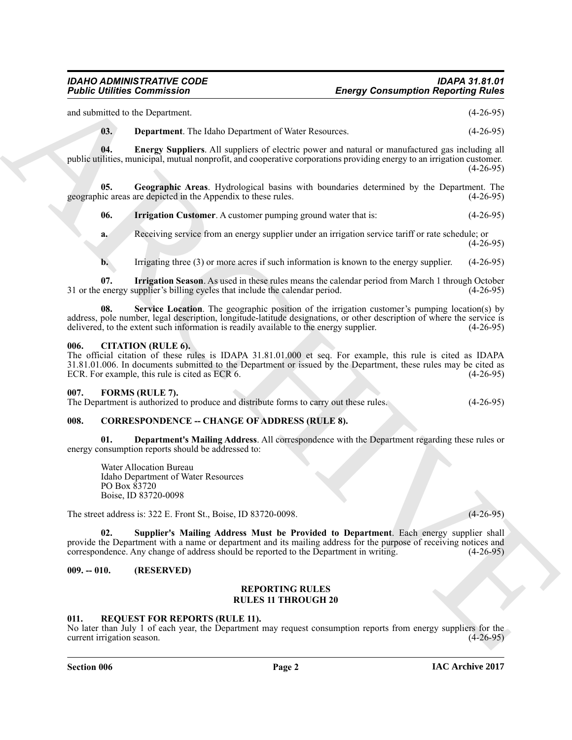and submitted to the Department. (4-26-95)

<span id="page-2-9"></span><span id="page-2-8"></span>**03. Department**. The Idaho Department of Water Resources. (4-26-95)

**04. Energy Suppliers**. All suppliers of electric power and natural or manufactured gas including all public utilities, municipal, mutual nonprofit, and cooperative corporations providing energy to an irrigation customer.  $(4-26-95)$ 

**05. Geographic Areas**. Hydrological basins with boundaries determined by the Department. The geographic areas are depicted in the Appendix to these rules. (4-26-95)

<span id="page-2-11"></span><span id="page-2-10"></span>**06. Irrigation Customer**. A customer pumping ground water that is: (4-26-95)

**a.** Receiving service from an energy supplier under an irrigation service tariff or rate schedule; or  $(4-26-95)$ 

<span id="page-2-13"></span><span id="page-2-12"></span>**b.** Irrigating three (3) or more acres if such information is known to the energy supplier. (4-26-95)

**07.** Irrigation Season. As used in these rules means the calendar period from March 1 through October energy supplier's billing cycles that include the calendar period. (4-26-95) 31 or the energy supplier's billing cycles that include the calendar period.

**08.** Service Location. The geographic position of the irrigation customer's pumping location(s) by address, pole number, legal description, longitude-latitude designations, or other description of where the service is delivered, to the extent such information is readily available to the energy supplier. (4-26-95) delivered, to the extent such information is readily available to the energy supplier.

#### <span id="page-2-0"></span>**006. CITATION (RULE 6).**

**Foother Demonston Theorem School (Alle Control Control Control Control Control Control Control Control Control Control Control Control Control Control Control Control Control Control Control Control Control Control Contr** The official citation of these rules is IDAPA 31.81.01.000 et seq. For example, this rule is cited as IDAPA 31.81.01.006. In documents submitted to the Department or issued by the Department, these rules may be cited as ECR 6. (4-26-95) ECR. For example, this rule is cited as ECR 6.

#### <span id="page-2-14"></span><span id="page-2-1"></span>**007. FORMS (RULE 7).**

The Department is authorized to produce and distribute forms to carry out these rules. (4-26-95)

#### <span id="page-2-5"></span><span id="page-2-2"></span>008. CORRESPONDENCE -- CHANGE OF ADDRESS (RULE 8).

**01. Department's Mailing Address**. All correspondence with the Department regarding these rules or energy consumption reports should be addressed to:

<span id="page-2-7"></span><span id="page-2-6"></span>Water Allocation Bureau Idaho Department of Water Resources PO Box 83720 Boise, ID 83720-0098

The street address is: 322 E. Front St., Boise, ID 83720-0098. (4-26-95)

**02. Supplier's Mailing Address Must be Provided to Department**. Each energy supplier shall provide the Department with a name or department and its mailing address for the purpose of receiving notices and correspondence. Any change of address should be reported to the Department in writing. (4-26-95)

#### <span id="page-2-3"></span>**009. -- 010. (RESERVED)**

#### **REPORTING RULES RULES 11 THROUGH 20**

#### <span id="page-2-15"></span><span id="page-2-4"></span>**011. REQUEST FOR REPORTS (RULE 11).**

No later than July 1 of each year, the Department may request consumption reports from energy suppliers for the current irrigation season. (4-26-95) current irrigation season.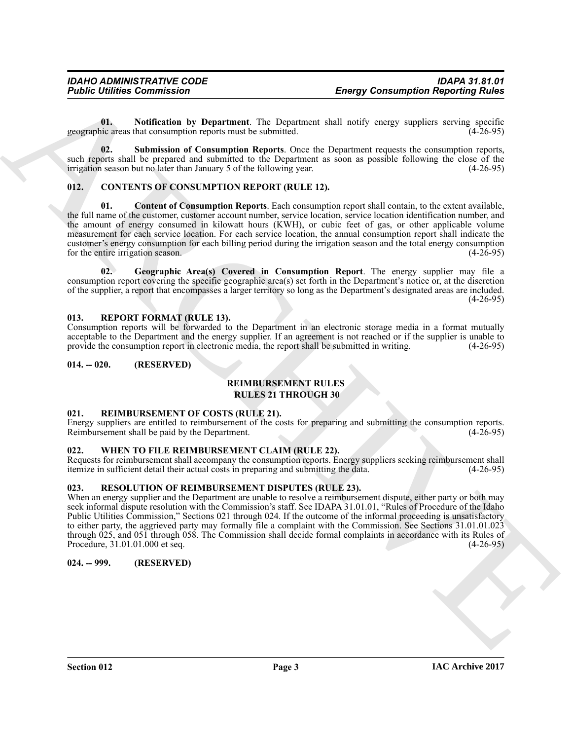<span id="page-3-13"></span>**01.** Notification by Department. The Department shall notify energy suppliers serving specific incertiation reports must be submitted. (4-26-95) geographic areas that consumption reports must be submitted.

<span id="page-3-14"></span>**02. Submission of Consumption Reports**. Once the Department requests the consumption reports, such reports shall be prepared and submitted to the Department as soon as possible following the close of the irrigation season but no later than January 5 of the following year. (4-26-95) irrigation season but no later than January 5 of the following year.

#### <span id="page-3-8"></span><span id="page-3-7"></span><span id="page-3-0"></span>**012. CONTENTS OF CONSUMPTION REPORT (RULE 12).**

**From the communistics**<br>
Uniformized the properties and the properties and content in the properties and content in the communistic state of the content in the content in the content in the content in the content in the c **01. Content of Consumption Reports**. Each consumption report shall contain, to the extent available, the full name of the customer, customer account number, service location, service location identification number, and the amount of energy consumed in kilowatt hours (KWH), or cubic feet of gas, or other applicable volume measurement for each service location. For each service location, the annual consumption report shall indicate the customer's energy consumption for each billing period during the irrigation season and the total energy consumption for the entire irrigation season.

<span id="page-3-9"></span>**02. Geographic Area(s) Covered in Consumption Report**. The energy supplier may file a consumption report covering the specific geographic area(s) set forth in the Department's notice or, at the discretion of the supplier, a report that encompasses a larger territory so long as the Department's designated areas are included.  $(4-26-95)$ 

#### <span id="page-3-12"></span><span id="page-3-1"></span>**013. REPORT FORMAT (RULE 13).**

Consumption reports will be forwarded to the Department in an electronic storage media in a format mutually acceptable to the Department and the energy supplier. If an agreement is not reached or if the supplier is unable to provide the consumption report in electronic media, the report shall be submitted in writing. (4-26-95) provide the consumption report in electronic media, the report shall be submitted in writing.

#### <span id="page-3-2"></span>**014. -- 020. (RESERVED)**

#### <span id="page-3-11"></span>**REIMBURSEMENT RULES RULES 21 THROUGH 30**

#### <span id="page-3-10"></span><span id="page-3-3"></span>**021. REIMBURSEMENT OF COSTS (RULE 21).**

Energy suppliers are entitled to reimbursement of the costs for preparing and submitting the consumption reports.<br>Reimbursement shall be paid by the Department. (4-26-95) Reimbursement shall be paid by the Department.

#### <span id="page-3-16"></span><span id="page-3-4"></span>**022. WHEN TO FILE REIMBURSEMENT CLAIM (RULE 22).**

Requests for reimbursement shall accompany the consumption reports. Energy suppliers seeking reimbursement shall<br>itemize in sufficient detail their actual costs in preparing and submitting the data. (4-26-95) itemize in sufficient detail their actual costs in preparing and submitting the data.

#### <span id="page-3-15"></span><span id="page-3-5"></span>**023. RESOLUTION OF REIMBURSEMENT DISPUTES (RULE 23).**

When an energy supplier and the Department are unable to resolve a reimbursement dispute, either party or both may seek informal dispute resolution with the Commission's staff. See IDAPA 31.01.01, "Rules of Procedure of the Idaho Public Utilities Commission," Sections 021 through 024. If the outcome of the informal proceeding is unsatisfactory to either party, the aggrieved party may formally file a complaint with the Commission. See Sections 31.01.01.023 through 025, and 051 through 058. The Commission shall decide formal complaints in accordance with its Rules of Procedure, 31.01.01.000 et seq. (4-26-95)

#### <span id="page-3-6"></span>**024. -- 999. (RESERVED)**